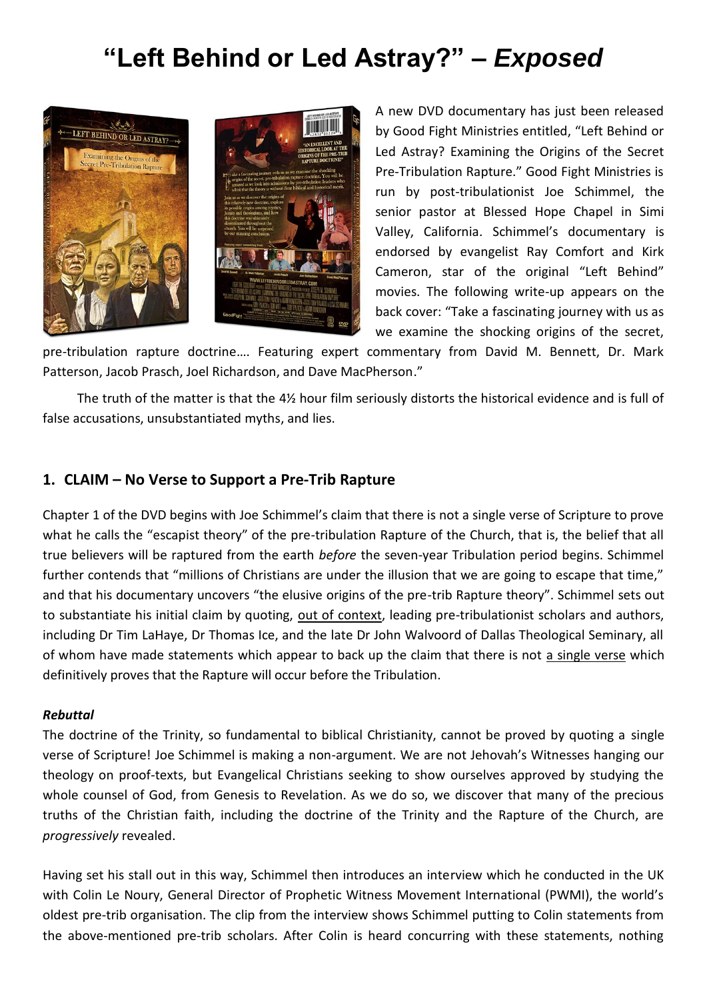# **"Left Behind or Led Astray?" –** *Exposed*



A new DVD documentary has just been released by Good Fight Ministries entitled, "Left Behind or Led Astray? Examining the Origins of the Secret Pre-Tribulation Rapture." Good Fight Ministries is run by post-tribulationist Joe Schimmel, the senior pastor at Blessed Hope Chapel in Simi Valley, California. Schimmel's documentary is endorsed by evangelist Ray Comfort and Kirk Cameron, star of the original "Left Behind" movies. The following write-up appears on the back cover: "Take a fascinating journey with us as we examine the shocking origins of the secret,

pre-tribulation rapture doctrine…. Featuring expert commentary from David M. Bennett, Dr. Mark Patterson, Jacob Prasch, Joel Richardson, and Dave MacPherson."

 The truth of the matter is that the 4½ hour film seriously distorts the historical evidence and is full of false accusations, unsubstantiated myths, and lies.

## **1. CLAIM – No Verse to Support a Pre-Trib Rapture**

Chapter 1 of the DVD begins with Joe Schimmel's claim that there is not a single verse of Scripture to prove what he calls the "escapist theory" of the pre-tribulation Rapture of the Church, that is, the belief that all true believers will be raptured from the earth *before* the seven-year Tribulation period begins. Schimmel further contends that "millions of Christians are under the illusion that we are going to escape that time," and that his documentary uncovers "the elusive origins of the pre-trib Rapture theory". Schimmel sets out to substantiate his initial claim by quoting, out of context, leading pre-tribulationist scholars and authors, including Dr Tim LaHaye, Dr Thomas Ice, and the late Dr John Walvoord of Dallas Theological Seminary, all of whom have made statements which appear to back up the claim that there is not a single verse which definitively proves that the Rapture will occur before the Tribulation.

#### *Rebuttal*

The doctrine of the Trinity, so fundamental to biblical Christianity, cannot be proved by quoting a single verse of Scripture! Joe Schimmel is making a non-argument. We are not Jehovah's Witnesses hanging our theology on proof-texts, but Evangelical Christians seeking to show ourselves approved by studying the whole counsel of God, from Genesis to Revelation. As we do so, we discover that many of the precious truths of the Christian faith, including the doctrine of the Trinity and the Rapture of the Church, are *progressively* revealed.

Having set his stall out in this way, Schimmel then introduces an interview which he conducted in the UK with Colin Le Noury, General Director of Prophetic Witness Movement International (PWMI), the world's oldest pre-trib organisation. The clip from the interview shows Schimmel putting to Colin statements from the above-mentioned pre-trib scholars. After Colin is heard concurring with these statements, nothing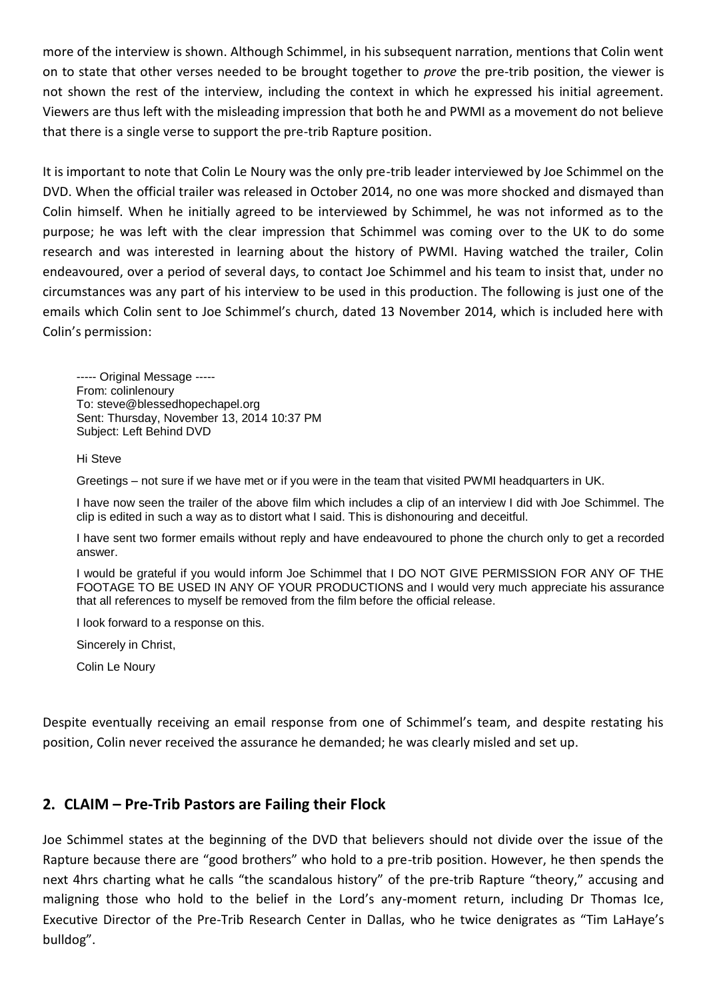more of the interview is shown. Although Schimmel, in his subsequent narration, mentions that Colin went on to state that other verses needed to be brought together to *prove* the pre-trib position, the viewer is not shown the rest of the interview, including the context in which he expressed his initial agreement. Viewers are thus left with the misleading impression that both he and PWMI as a movement do not believe that there is a single verse to support the pre-trib Rapture position.

It is important to note that Colin Le Noury was the only pre-trib leader interviewed by Joe Schimmel on the DVD. When the official trailer was released in October 2014, no one was more shocked and dismayed than Colin himself. When he initially agreed to be interviewed by Schimmel, he was not informed as to the purpose; he was left with the clear impression that Schimmel was coming over to the UK to do some research and was interested in learning about the history of PWMI. Having watched the trailer, Colin endeavoured, over a period of several days, to contact Joe Schimmel and his team to insist that, under no circumstances was any part of his interview to be used in this production. The following is just one of the emails which Colin sent to Joe Schimmel's church, dated 13 November 2014, which is included here with Colin's permission:

----- Original Message ----- From: colinlenoury To: steve@blessedhopechapel.org Sent: Thursday, November 13, 2014 10:37 PM Subject: Left Behind DVD

Hi Steve

Greetings – not sure if we have met or if you were in the team that visited PWMI headquarters in UK.

I have now seen the trailer of the above film which includes a clip of an interview I did with Joe Schimmel. The clip is edited in such a way as to distort what I said. This is dishonouring and deceitful.

I have sent two former emails without reply and have endeavoured to phone the church only to get a recorded answer.

I would be grateful if you would inform Joe Schimmel that I DO NOT GIVE PERMISSION FOR ANY OF THE FOOTAGE TO BE USED IN ANY OF YOUR PRODUCTIONS and I would very much appreciate his assurance that all references to myself be removed from the film before the official release.

I look forward to a response on this.

Sincerely in Christ,

Colin Le Noury

Despite eventually receiving an email response from one of Schimmel's team, and despite restating his position, Colin never received the assurance he demanded; he was clearly misled and set up.

#### **2. CLAIM – Pre-Trib Pastors are Failing their Flock**

Joe Schimmel states at the beginning of the DVD that believers should not divide over the issue of the Rapture because there are "good brothers" who hold to a pre-trib position. However, he then spends the next 4hrs charting what he calls "the scandalous history" of the pre-trib Rapture "theory," accusing and maligning those who hold to the belief in the Lord's any-moment return, including Dr Thomas Ice, Executive Director of the Pre-Trib Research Center in Dallas, who he twice denigrates as "Tim LaHaye's bulldog".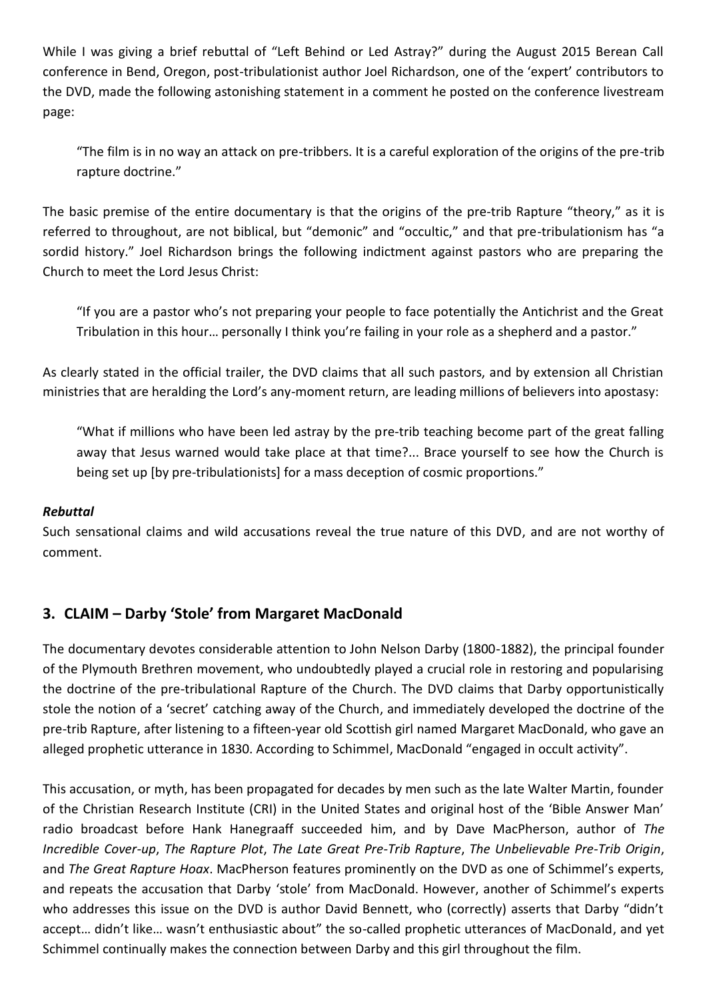While I was giving a brief rebuttal of "Left Behind or Led Astray?" during the August 2015 Berean Call conference in Bend, Oregon, post-tribulationist author Joel Richardson, one of the 'expert' contributors to the DVD, made the following astonishing statement in a comment he posted on the conference livestream page:

"The film is in no way an attack on pre-tribbers. It is a careful exploration of the origins of the pre-trib rapture doctrine."

The basic premise of the entire documentary is that the origins of the pre-trib Rapture "theory," as it is referred to throughout, are not biblical, but "demonic" and "occultic," and that pre-tribulationism has "a sordid history." Joel Richardson brings the following indictment against pastors who are preparing the Church to meet the Lord Jesus Christ:

"If you are a pastor who's not preparing your people to face potentially the Antichrist and the Great Tribulation in this hour… personally I think you're failing in your role as a shepherd and a pastor."

As clearly stated in the official trailer, the DVD claims that all such pastors, and by extension all Christian ministries that are heralding the Lord's any-moment return, are leading millions of believers into apostasy:

"What if millions who have been led astray by the pre-trib teaching become part of the great falling away that Jesus warned would take place at that time?... Brace yourself to see how the Church is being set up [by pre-tribulationists] for a mass deception of cosmic proportions."

#### *Rebuttal*

Such sensational claims and wild accusations reveal the true nature of this DVD, and are not worthy of comment.

## **3. CLAIM – Darby 'Stole' from Margaret MacDonald**

The documentary devotes considerable attention to John Nelson Darby (1800-1882), the principal founder of the Plymouth Brethren movement, who undoubtedly played a crucial role in restoring and popularising the doctrine of the pre-tribulational Rapture of the Church. The DVD claims that Darby opportunistically stole the notion of a 'secret' catching away of the Church, and immediately developed the doctrine of the pre-trib Rapture, after listening to a fifteen-year old Scottish girl named Margaret MacDonald, who gave an alleged prophetic utterance in 1830. According to Schimmel, MacDonald "engaged in occult activity".

This accusation, or myth, has been propagated for decades by men such as the late Walter Martin, founder of the Christian Research Institute (CRI) in the United States and original host of the 'Bible Answer Man' radio broadcast before Hank Hanegraaff succeeded him, and by Dave MacPherson, author of *The Incredible Cover-up*, *The Rapture Plot*, *The Late Great Pre-Trib Rapture*, *The Unbelievable Pre-Trib Origin*, and *The Great Rapture Hoax*. MacPherson features prominently on the DVD as one of Schimmel's experts, and repeats the accusation that Darby 'stole' from MacDonald. However, another of Schimmel's experts who addresses this issue on the DVD is author David Bennett, who (correctly) asserts that Darby "didn't accept… didn't like… wasn't enthusiastic about" the so-called prophetic utterances of MacDonald, and yet Schimmel continually makes the connection between Darby and this girl throughout the film.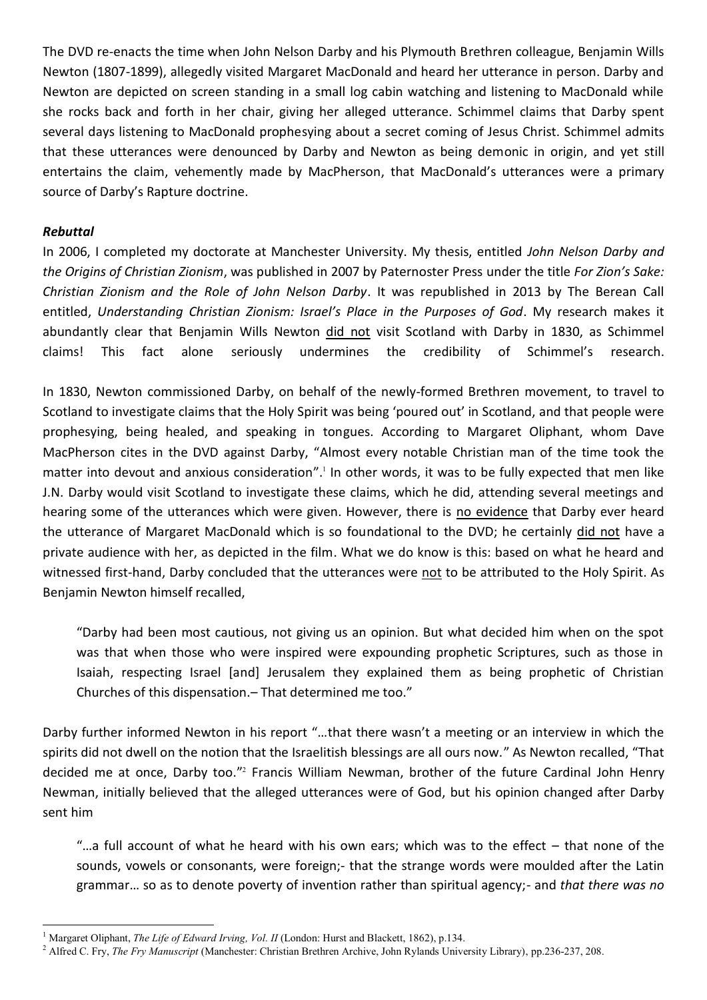The DVD re-enacts the time when John Nelson Darby and his Plymouth Brethren colleague, Benjamin Wills Newton (1807-1899), allegedly visited Margaret MacDonald and heard her utterance in person. Darby and Newton are depicted on screen standing in a small log cabin watching and listening to MacDonald while she rocks back and forth in her chair, giving her alleged utterance. Schimmel claims that Darby spent several days listening to MacDonald prophesying about a secret coming of Jesus Christ. Schimmel admits that these utterances were denounced by Darby and Newton as being demonic in origin, and yet still entertains the claim, vehemently made by MacPherson, that MacDonald's utterances were a primary source of Darby's Rapture doctrine.

#### *Rebuttal*

1

In 2006, I completed my doctorate at Manchester University. My thesis, entitled *John Nelson Darby and the Origins of Christian Zionism*, was published in 2007 by Paternoster Press under the title *For Zion's Sake: Christian Zionism and the Role of John Nelson Darby*. It was republished in 2013 by The Berean Call entitled, *Understanding Christian Zionism: Israel's Place in the Purposes of God*. My research makes it abundantly clear that Benjamin Wills Newton did not visit Scotland with Darby in 1830, as Schimmel claims! This fact alone seriously undermines the credibility of Schimmel's research.

In 1830, Newton commissioned Darby, on behalf of the newly-formed Brethren movement, to travel to Scotland to investigate claims that the Holy Spirit was being 'poured out' in Scotland, and that people were prophesying, being healed, and speaking in tongues. According to Margaret Oliphant, whom Dave MacPherson cites in the DVD against Darby, "Almost every notable Christian man of the time took the matter into devout and anxious consideration".<sup>1</sup> In other words, it was to be fully expected that men like J.N. Darby would visit Scotland to investigate these claims, which he did, attending several meetings and hearing some of the utterances which were given. However, there is no evidence that Darby ever heard the utterance of Margaret MacDonald which is so foundational to the DVD; he certainly did not have a private audience with her, as depicted in the film. What we do know is this: based on what he heard and witnessed first-hand, Darby concluded that the utterances were not to be attributed to the Holy Spirit. As Benjamin Newton himself recalled,

"Darby had been most cautious, not giving us an opinion. But what decided him when on the spot was that when those who were inspired were expounding prophetic Scriptures, such as those in Isaiah, respecting Israel [and] Jerusalem they explained them as being prophetic of Christian Churches of this dispensation.– That determined me too."

Darby further informed Newton in his report "…that there wasn't a meeting or an interview in which the spirits did not dwell on the notion that the Israelitish blessings are all ours now." As Newton recalled, "That decided me at once, Darby too."<sup>2</sup> Francis William Newman, brother of the future Cardinal John Henry Newman, initially believed that the alleged utterances were of God, but his opinion changed after Darby sent him

"…a full account of what he heard with his own ears; which was to the effect – that none of the sounds, vowels or consonants, were foreign;- that the strange words were moulded after the Latin grammar… so as to denote poverty of invention rather than spiritual agency;- and *that there was no* 

<sup>&</sup>lt;sup>1</sup> Margaret Oliphant, *The Life of Edward Irving, Vol. II* (London: Hurst and Blackett, 1862), p.134.

<sup>2</sup> Alfred C. Fry, *The Fry Manuscript* (Manchester: Christian Brethren Archive, John Rylands University Library), pp.236-237, 208.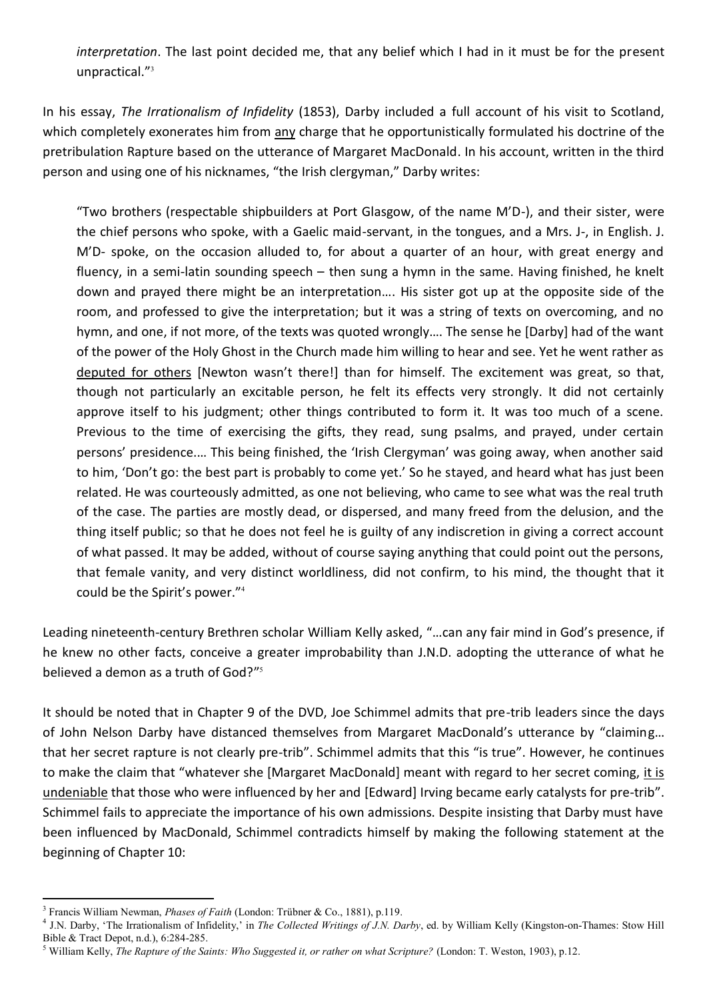*interpretation*. The last point decided me, that any belief which I had in it must be for the present unpractical." 3

In his essay, *The Irrationalism of Infidelity* (1853), Darby included a full account of his visit to Scotland, which completely exonerates him from any charge that he opportunistically formulated his doctrine of the pretribulation Rapture based on the utterance of Margaret MacDonald. In his account, written in the third person and using one of his nicknames, "the Irish clergyman," Darby writes:

"Two brothers (respectable shipbuilders at Port Glasgow, of the name M'D-), and their sister, were the chief persons who spoke, with a Gaelic maid-servant, in the tongues, and a Mrs. J-, in English. J. M'D- spoke, on the occasion alluded to, for about a quarter of an hour, with great energy and fluency, in a semi-latin sounding speech – then sung a hymn in the same. Having finished, he knelt down and prayed there might be an interpretation…. His sister got up at the opposite side of the room, and professed to give the interpretation; but it was a string of texts on overcoming, and no hymn, and one, if not more, of the texts was quoted wrongly…. The sense he [Darby] had of the want of the power of the Holy Ghost in the Church made him willing to hear and see. Yet he went rather as deputed for others [Newton wasn't there!] than for himself. The excitement was great, so that, though not particularly an excitable person, he felt its effects very strongly. It did not certainly approve itself to his judgment; other things contributed to form it. It was too much of a scene. Previous to the time of exercising the gifts, they read, sung psalms, and prayed, under certain persons' presidence.… This being finished, the 'Irish Clergyman' was going away, when another said to him, 'Don't go: the best part is probably to come yet.' So he stayed, and heard what has just been related. He was courteously admitted, as one not believing, who came to see what was the real truth of the case. The parties are mostly dead, or dispersed, and many freed from the delusion, and the thing itself public; so that he does not feel he is guilty of any indiscretion in giving a correct account of what passed. It may be added, without of course saying anything that could point out the persons, that female vanity, and very distinct worldliness, did not confirm, to his mind, the thought that it could be the Spirit's power."<sup>4</sup>

Leading nineteenth-century Brethren scholar William Kelly asked, "…can any fair mind in God's presence, if he knew no other facts, conceive a greater improbability than J.N.D. adopting the utterance of what he believed a demon as a truth of God?" 5

It should be noted that in Chapter 9 of the DVD, Joe Schimmel admits that pre-trib leaders since the days of John Nelson Darby have distanced themselves from Margaret MacDonald's utterance by "claiming… that her secret rapture is not clearly pre-trib". Schimmel admits that this "is true". However, he continues to make the claim that "whatever she [Margaret MacDonald] meant with regard to her secret coming, it is undeniable that those who were influenced by her and [Edward] Irving became early catalysts for pre-trib". Schimmel fails to appreciate the importance of his own admissions. Despite insisting that Darby must have been influenced by MacDonald, Schimmel contradicts himself by making the following statement at the beginning of Chapter 10:

<sup>5</sup> William Kelly, *The Rapture of the Saints: Who Suggested it, or rather on what Scripture?* (London: T. Weston, 1903), p.12.

<sup>1</sup> 3 Francis William Newman, *Phases of Faith* (London: Trübner & Co., 1881), p.119.

<sup>4</sup> J.N. Darby, 'The Irrationalism of Infidelity,' in *The Collected Writings of J.N. Darby*, ed. by William Kelly (Kingston-on-Thames: Stow Hill Bible & Tract Depot, n.d.), 6:284-285.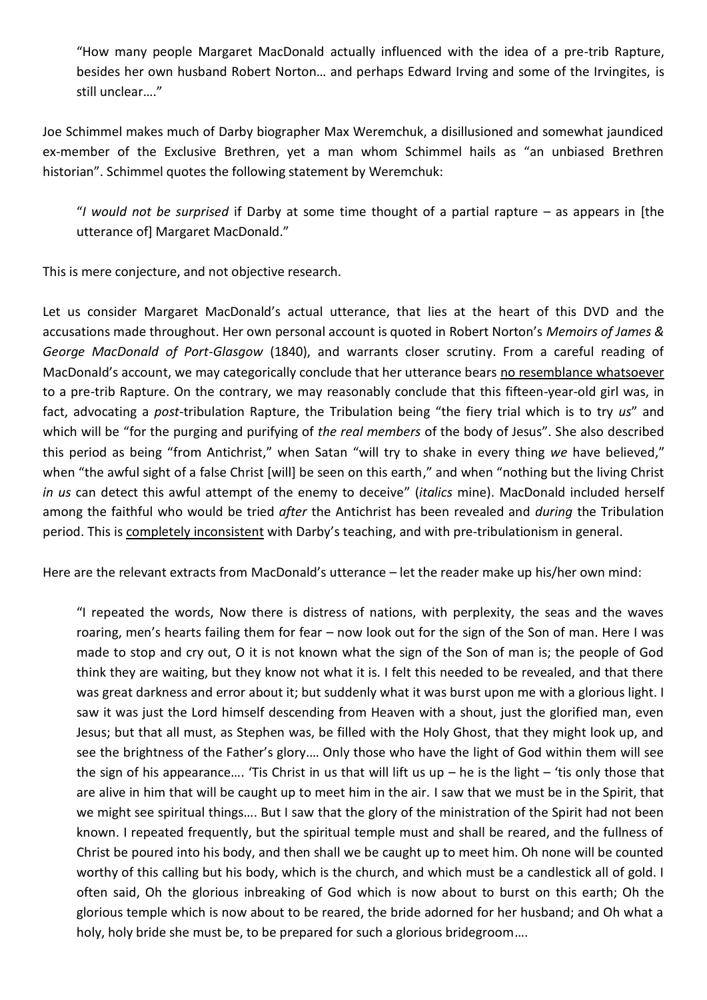"How many people Margaret MacDonald actually influenced with the idea of a pre-trib Rapture, besides her own husband Robert Norton… and perhaps Edward Irving and some of the Irvingites, is still unclear…."

Joe Schimmel makes much of Darby biographer Max Weremchuk, a disillusioned and somewhat jaundiced ex-member of the Exclusive Brethren, yet a man whom Schimmel hails as "an unbiased Brethren historian". Schimmel quotes the following statement by Weremchuk:

"*I would not be surprised* if Darby at some time thought of a partial rapture – as appears in [the utterance of] Margaret MacDonald."

This is mere conjecture, and not objective research.

Let us consider Margaret MacDonald's actual utterance, that lies at the heart of this DVD and the accusations made throughout. Her own personal account is quoted in Robert Norton's *Memoirs of James & George MacDonald of Port-Glasgow* (1840), and warrants closer scrutiny. From a careful reading of MacDonald's account, we may categorically conclude that her utterance bears no resemblance whatsoever to a pre-trib Rapture. On the contrary, we may reasonably conclude that this fifteen-year-old girl was, in fact, advocating a *post-*tribulation Rapture, the Tribulation being "the fiery trial which is to try *us*" and which will be "for the purging and purifying of *the real members* of the body of Jesus". She also described this period as being "from Antichrist," when Satan "will try to shake in every thing *we* have believed," when "the awful sight of a false Christ [will] be seen on this earth," and when "nothing but the living Christ *in us* can detect this awful attempt of the enemy to deceive" (*italics* mine). MacDonald included herself among the faithful who would be tried *after* the Antichrist has been revealed and *during* the Tribulation period. This is completely inconsistent with Darby's teaching, and with pre-tribulationism in general.

Here are the relevant extracts from MacDonald's utterance – let the reader make up his/her own mind:

"I repeated the words, Now there is distress of nations, with perplexity, the seas and the waves roaring, men's hearts failing them for fear – now look out for the sign of the Son of man. Here I was made to stop and cry out, O it is not known what the sign of the Son of man is; the people of God think they are waiting, but they know not what it is. I felt this needed to be revealed, and that there was great darkness and error about it; but suddenly what it was burst upon me with a glorious light. I saw it was just the Lord himself descending from Heaven with a shout, just the glorified man, even Jesus; but that all must, as Stephen was, be filled with the Holy Ghost, that they might look up, and see the brightness of the Father's glory.… Only those who have the light of God within them will see the sign of his appearance.... 'Tis Christ in us that will lift us up  $-$  he is the light  $-$  'tis only those that are alive in him that will be caught up to meet him in the air. I saw that we must be in the Spirit, that we might see spiritual things…. But I saw that the glory of the ministration of the Spirit had not been known. I repeated frequently, but the spiritual temple must and shall be reared, and the fullness of Christ be poured into his body, and then shall we be caught up to meet him. Oh none will be counted worthy of this calling but his body, which is the church, and which must be a candlestick all of gold. I often said, Oh the glorious inbreaking of God which is now about to burst on this earth; Oh the glorious temple which is now about to be reared, the bride adorned for her husband; and Oh what a holy, holy bride she must be, to be prepared for such a glorious bridegroom….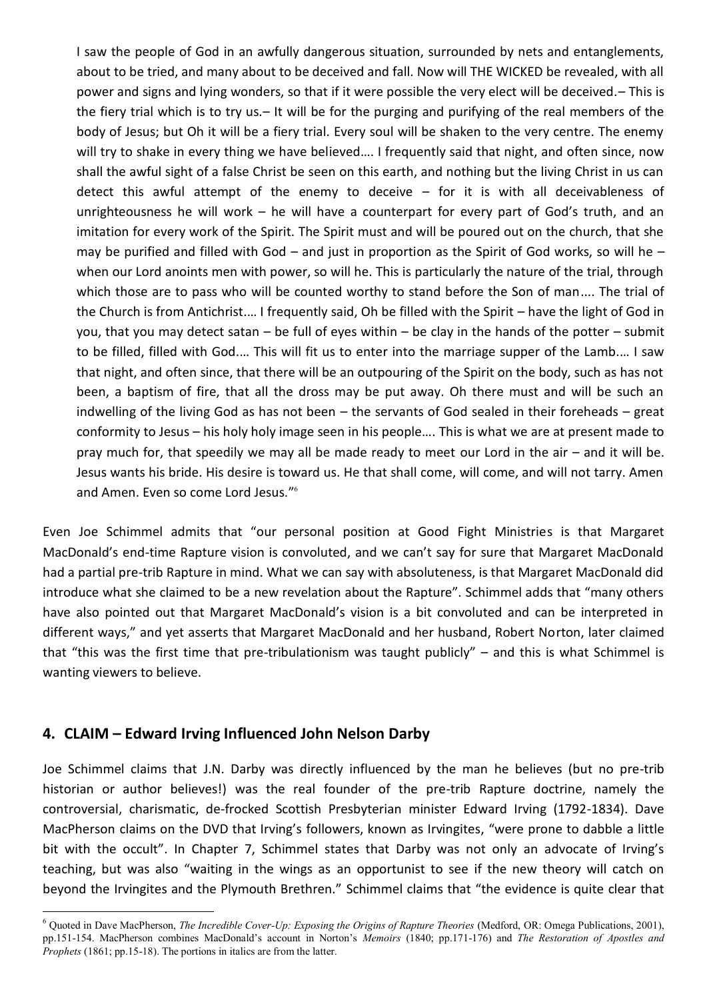I saw the people of God in an awfully dangerous situation, surrounded by nets and entanglements, about to be tried, and many about to be deceived and fall. Now will THE WICKED be revealed, with all power and signs and lying wonders, so that if it were possible the very elect will be deceived.– This is the fiery trial which is to try us.– It will be for the purging and purifying of the real members of the body of Jesus; but Oh it will be a fiery trial. Every soul will be shaken to the very centre. The enemy will try to shake in every thing we have believed.... I frequently said that night, and often since, now shall the awful sight of a false Christ be seen on this earth, and nothing but the living Christ in us can detect this awful attempt of the enemy to deceive – for it is with all deceivableness of unrighteousness he will work – he will have a counterpart for every part of God's truth, and an imitation for every work of the Spirit. The Spirit must and will be poured out on the church, that she may be purified and filled with God – and just in proportion as the Spirit of God works, so will he – when our Lord anoints men with power, so will he. This is particularly the nature of the trial, through which those are to pass who will be counted worthy to stand before the Son of man.... The trial of the Church is from Antichrist.… I frequently said, Oh be filled with the Spirit – have the light of God in you, that you may detect satan – be full of eyes within – be clay in the hands of the potter – submit to be filled, filled with God.… This will fit us to enter into the marriage supper of the Lamb.… I saw that night, and often since, that there will be an outpouring of the Spirit on the body, such as has not been, a baptism of fire, that all the dross may be put away. Oh there must and will be such an indwelling of the living God as has not been – the servants of God sealed in their foreheads – great conformity to Jesus – his holy holy image seen in his people…. This is what we are at present made to pray much for, that speedily we may all be made ready to meet our Lord in the air – and it will be. Jesus wants his bride. His desire is toward us. He that shall come, will come, and will not tarry. Amen and Amen. Even so come Lord Jesus." 6

Even Joe Schimmel admits that "our personal position at Good Fight Ministries is that Margaret MacDonald's end-time Rapture vision is convoluted, and we can't say for sure that Margaret MacDonald had a partial pre-trib Rapture in mind. What we can say with absoluteness, is that Margaret MacDonald did introduce what she claimed to be a new revelation about the Rapture". Schimmel adds that "many others have also pointed out that Margaret MacDonald's vision is a bit convoluted and can be interpreted in different ways," and yet asserts that Margaret MacDonald and her husband, Robert Norton, later claimed that "this was the first time that pre-tribulationism was taught publicly" – and this is what Schimmel is wanting viewers to believe.

## **4. CLAIM – Edward Irving Influenced John Nelson Darby**

.

Joe Schimmel claims that J.N. Darby was directly influenced by the man he believes (but no pre-trib historian or author believes!) was the real founder of the pre-trib Rapture doctrine, namely the controversial, charismatic, de-frocked Scottish Presbyterian minister Edward Irving (1792-1834). Dave MacPherson claims on the DVD that Irving's followers, known as Irvingites, "were prone to dabble a little bit with the occult". In Chapter 7, Schimmel states that Darby was not only an advocate of Irving's teaching, but was also "waiting in the wings as an opportunist to see if the new theory will catch on beyond the Irvingites and the Plymouth Brethren." Schimmel claims that "the evidence is quite clear that

<sup>6</sup> Quoted in Dave MacPherson, *The Incredible Cover-Up: Exposing the Origins of Rapture Theories* (Medford, OR: Omega Publications, 2001), pp.151-154. MacPherson combines MacDonald's account in Norton's *Memoirs* (1840; pp.171-176) and *The Restoration of Apostles and Prophets* (1861; pp.15-18). The portions in italics are from the latter.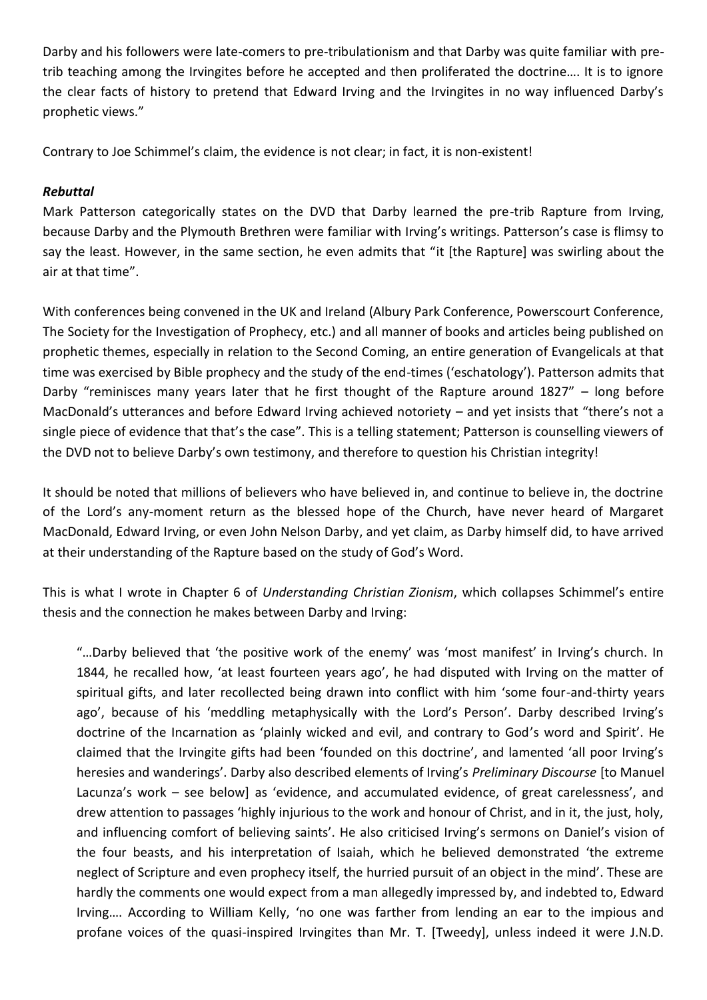Darby and his followers were late-comers to pre-tribulationism and that Darby was quite familiar with pretrib teaching among the Irvingites before he accepted and then proliferated the doctrine…. It is to ignore the clear facts of history to pretend that Edward Irving and the Irvingites in no way influenced Darby's prophetic views."

Contrary to Joe Schimmel's claim, the evidence is not clear; in fact, it is non-existent!

#### *Rebuttal*

Mark Patterson categorically states on the DVD that Darby learned the pre-trib Rapture from Irving, because Darby and the Plymouth Brethren were familiar with Irving's writings. Patterson's case is flimsy to say the least. However, in the same section, he even admits that "it [the Rapture] was swirling about the air at that time".

With conferences being convened in the UK and Ireland (Albury Park Conference, Powerscourt Conference, The Society for the Investigation of Prophecy, etc.) and all manner of books and articles being published on prophetic themes, especially in relation to the Second Coming, an entire generation of Evangelicals at that time was exercised by Bible prophecy and the study of the end-times ('eschatology'). Patterson admits that Darby "reminisces many years later that he first thought of the Rapture around 1827" – long before MacDonald's utterances and before Edward Irving achieved notoriety – and yet insists that "there's not a single piece of evidence that that's the case". This is a telling statement; Patterson is counselling viewers of the DVD not to believe Darby's own testimony, and therefore to question his Christian integrity!

It should be noted that millions of believers who have believed in, and continue to believe in, the doctrine of the Lord's any-moment return as the blessed hope of the Church, have never heard of Margaret MacDonald, Edward Irving, or even John Nelson Darby, and yet claim, as Darby himself did, to have arrived at their understanding of the Rapture based on the study of God's Word.

This is what I wrote in Chapter 6 of *Understanding Christian Zionism*, which collapses Schimmel's entire thesis and the connection he makes between Darby and Irving:

"…Darby believed that 'the positive work of the enemy' was 'most manifest' in Irving's church. In 1844, he recalled how, 'at least fourteen years ago', he had disputed with Irving on the matter of spiritual gifts, and later recollected being drawn into conflict with him 'some four-and-thirty years ago', because of his 'meddling metaphysically with the Lord's Person'. Darby described Irving's doctrine of the Incarnation as 'plainly wicked and evil, and contrary to God's word and Spirit'. He claimed that the Irvingite gifts had been 'founded on this doctrine', and lamented 'all poor Irving's heresies and wanderings'. Darby also described elements of Irving's *Preliminary Discourse* [to Manuel Lacunza's work – see below] as 'evidence, and accumulated evidence, of great carelessness', and drew attention to passages 'highly injurious to the work and honour of Christ, and in it, the just, holy, and influencing comfort of believing saints'. He also criticised Irving's sermons on Daniel's vision of the four beasts, and his interpretation of Isaiah, which he believed demonstrated 'the extreme neglect of Scripture and even prophecy itself, the hurried pursuit of an object in the mind'. These are hardly the comments one would expect from a man allegedly impressed by, and indebted to, Edward Irving…. According to William Kelly, 'no one was farther from lending an ear to the impious and profane voices of the quasi-inspired Irvingites than Mr. T. [Tweedy], unless indeed it were J.N.D.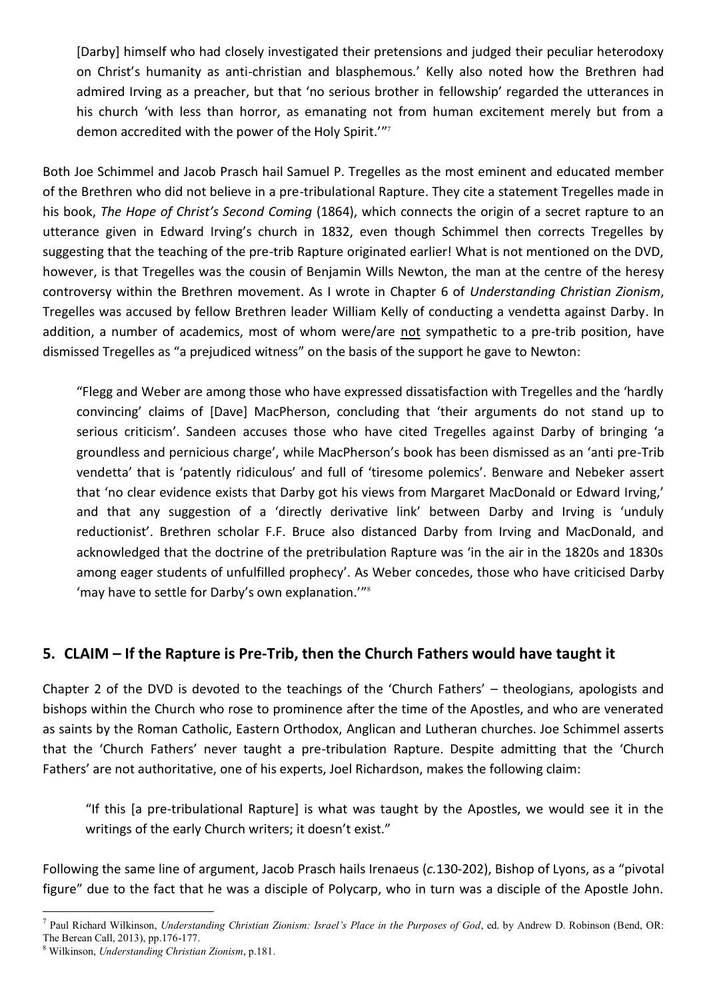[Darby] himself who had closely investigated their pretensions and judged their peculiar heterodoxy on Christ's humanity as anti-christian and blasphemous.' Kelly also noted how the Brethren had admired Irving as a preacher, but that 'no serious brother in fellowship' regarded the utterances in his church 'with less than horror, as emanating not from human excitement merely but from a demon accredited with the power of the Holy Spirit.'" 7

Both Joe Schimmel and Jacob Prasch hail Samuel P. Tregelles as the most eminent and educated member of the Brethren who did not believe in a pre-tribulational Rapture. They cite a statement Tregelles made in his book, *The Hope of Christ's Second Coming* (1864), which connects the origin of a secret rapture to an utterance given in Edward Irving's church in 1832, even though Schimmel then corrects Tregelles by suggesting that the teaching of the pre-trib Rapture originated earlier! What is not mentioned on the DVD, however, is that Tregelles was the cousin of Benjamin Wills Newton, the man at the centre of the heresy controversy within the Brethren movement. As I wrote in Chapter 6 of *Understanding Christian Zionism*, Tregelles was accused by fellow Brethren leader William Kelly of conducting a vendetta against Darby. In addition, a number of academics, most of whom were/are not sympathetic to a pre-trib position, have dismissed Tregelles as "a prejudiced witness" on the basis of the support he gave to Newton:

"Flegg and Weber are among those who have expressed dissatisfaction with Tregelles and the 'hardly convincing' claims of [Dave] MacPherson, concluding that 'their arguments do not stand up to serious criticism'. Sandeen accuses those who have cited Tregelles against Darby of bringing 'a groundless and pernicious charge', while MacPherson's book has been dismissed as an 'anti pre-Trib vendetta' that is 'patently ridiculous' and full of 'tiresome polemics'. Benware and Nebeker assert that 'no clear evidence exists that Darby got his views from Margaret MacDonald or Edward Irving,' and that any suggestion of a 'directly derivative link' between Darby and Irving is 'unduly reductionist'. Brethren scholar F.F. Bruce also distanced Darby from Irving and MacDonald, and acknowledged that the doctrine of the pretribulation Rapture was 'in the air in the 1820s and 1830s among eager students of unfulfilled prophecy'. As Weber concedes, those who have criticised Darby 'may have to settle for Darby's own explanation.'" 8

## **5. CLAIM – If the Rapture is Pre-Trib, then the Church Fathers would have taught it**

Chapter 2 of the DVD is devoted to the teachings of the 'Church Fathers' – theologians, apologists and bishops within the Church who rose to prominence after the time of the Apostles, and who are venerated as saints by the Roman Catholic, Eastern Orthodox, Anglican and Lutheran churches. Joe Schimmel asserts that the 'Church Fathers' never taught a pre-tribulation Rapture. Despite admitting that the 'Church Fathers' are not authoritative, one of his experts, Joel Richardson, makes the following claim:

"If this [a pre-tribulational Rapture] is what was taught by the Apostles, we would see it in the writings of the early Church writers; it doesn't exist."

Following the same line of argument, Jacob Prasch hails Irenaeus (*c.*130-202), Bishop of Lyons, as a "pivotal figure" due to the fact that he was a disciple of Polycarp, who in turn was a disciple of the Apostle John.

.

<sup>7</sup> Paul Richard Wilkinson, *Understanding Christian Zionism: Israel's Place in the Purposes of God*, ed. by Andrew D. Robinson (Bend, OR: The Berean Call, 2013), pp.176-177.

<sup>8</sup> Wilkinson, *Understanding Christian Zionism*, p.181.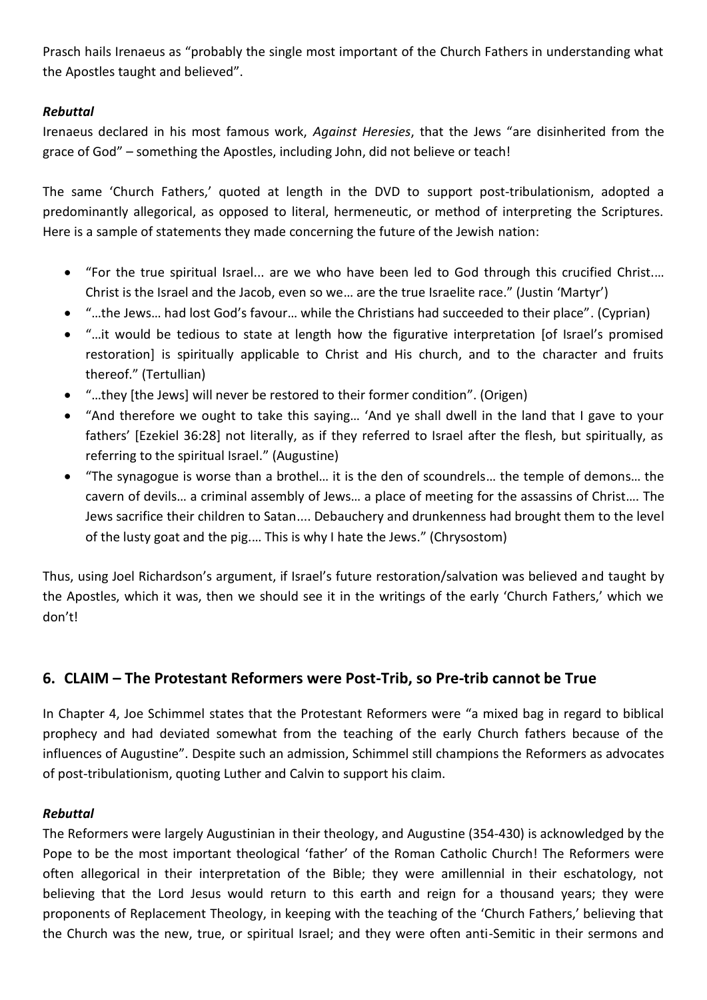Prasch hails Irenaeus as "probably the single most important of the Church Fathers in understanding what the Apostles taught and believed".

## *Rebuttal*

Irenaeus declared in his most famous work, *Against Heresies*, that the Jews "are disinherited from the grace of God" – something the Apostles, including John, did not believe or teach!

The same 'Church Fathers,' quoted at length in the DVD to support post-tribulationism, adopted a predominantly allegorical, as opposed to literal, hermeneutic, or method of interpreting the Scriptures. Here is a sample of statements they made concerning the future of the Jewish nation:

- "For the true spiritual Israel... are we who have been led to God through this crucified Christ.… Christ is the Israel and the Jacob, even so we… are the true Israelite race." (Justin 'Martyr')
- "…the Jews… had lost God's favour… while the Christians had succeeded to their place". (Cyprian)
- "…it would be tedious to state at length how the figurative interpretation [of Israel's promised restoration] is spiritually applicable to Christ and His church, and to the character and fruits thereof." (Tertullian)
- "…they [the Jews] will never be restored to their former condition". (Origen)
- "And therefore we ought to take this saying… 'And ye shall dwell in the land that I gave to your fathers' [Ezekiel 36:28] not literally, as if they referred to Israel after the flesh, but spiritually, as referring to the spiritual Israel." (Augustine)
- "The synagogue is worse than a brothel… it is the den of scoundrels… the temple of demons… the cavern of devils… a criminal assembly of Jews… a place of meeting for the assassins of Christ…. The Jews sacrifice their children to Satan.... Debauchery and drunkenness had brought them to the level of the lusty goat and the pig.… This is why I hate the Jews." (Chrysostom)

Thus, using Joel Richardson's argument, if Israel's future restoration/salvation was believed and taught by the Apostles, which it was, then we should see it in the writings of the early 'Church Fathers,' which we don't!

## **6. CLAIM – The Protestant Reformers were Post-Trib, so Pre-trib cannot be True**

In Chapter 4, Joe Schimmel states that the Protestant Reformers were "a mixed bag in regard to biblical prophecy and had deviated somewhat from the teaching of the early Church fathers because of the influences of Augustine". Despite such an admission, Schimmel still champions the Reformers as advocates of post-tribulationism, quoting Luther and Calvin to support his claim.

#### *Rebuttal*

The Reformers were largely Augustinian in their theology, and Augustine (354-430) is acknowledged by the Pope to be the most important theological 'father' of the Roman Catholic Church! The Reformers were often allegorical in their interpretation of the Bible; they were amillennial in their eschatology, not believing that the Lord Jesus would return to this earth and reign for a thousand years; they were proponents of Replacement Theology, in keeping with the teaching of the 'Church Fathers,' believing that the Church was the new, true, or spiritual Israel; and they were often anti-Semitic in their sermons and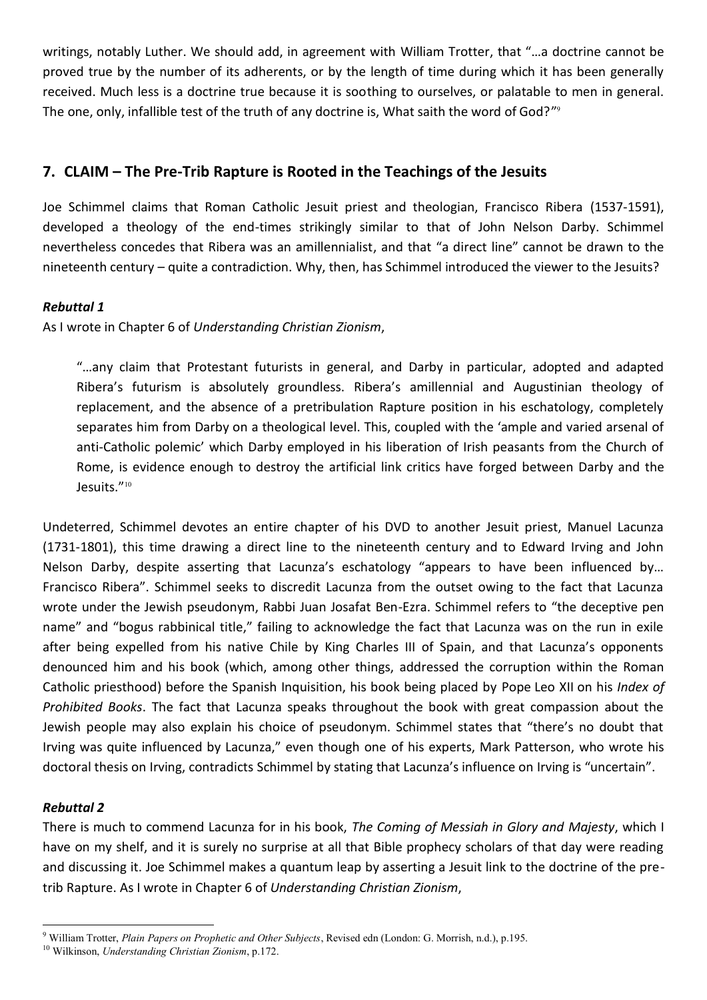writings, notably Luther. We should add, in agreement with William Trotter, that "…a doctrine cannot be proved true by the number of its adherents, or by the length of time during which it has been generally received. Much less is a doctrine true because it is soothing to ourselves, or palatable to men in general. The one, only, infallible test of the truth of any doctrine is, What saith the word of God?"<sup>,</sup>

## **7. CLAIM – The Pre-Trib Rapture is Rooted in the Teachings of the Jesuits**

Joe Schimmel claims that Roman Catholic Jesuit priest and theologian, Francisco Ribera (1537-1591), developed a theology of the end-times strikingly similar to that of John Nelson Darby. Schimmel nevertheless concedes that Ribera was an amillennialist, and that "a direct line" cannot be drawn to the nineteenth century – quite a contradiction. Why, then, has Schimmel introduced the viewer to the Jesuits?

#### *Rebuttal 1*

As I wrote in Chapter 6 of *Understanding Christian Zionism*,

"…any claim that Protestant futurists in general, and Darby in particular, adopted and adapted Ribera's futurism is absolutely groundless. Ribera's amillennial and Augustinian theology of replacement, and the absence of a pretribulation Rapture position in his eschatology, completely separates him from Darby on a theological level. This, coupled with the 'ample and varied arsenal of anti-Catholic polemic' which Darby employed in his liberation of Irish peasants from the Church of Rome, is evidence enough to destroy the artificial link critics have forged between Darby and the Jesuits." 10

Undeterred, Schimmel devotes an entire chapter of his DVD to another Jesuit priest, Manuel Lacunza (1731-1801), this time drawing a direct line to the nineteenth century and to Edward Irving and John Nelson Darby, despite asserting that Lacunza's eschatology "appears to have been influenced by… Francisco Ribera". Schimmel seeks to discredit Lacunza from the outset owing to the fact that Lacunza wrote under the Jewish pseudonym, Rabbi Juan Josafat Ben-Ezra. Schimmel refers to "the deceptive pen name" and "bogus rabbinical title," failing to acknowledge the fact that Lacunza was on the run in exile after being expelled from his native Chile by King Charles III of Spain, and that Lacunza's opponents denounced him and his book (which, among other things, addressed the corruption within the Roman Catholic priesthood) before the Spanish Inquisition, his book being placed by Pope [Leo XII](https://en.wikipedia.org/wiki/Leo_XII) on his *Index of Prohibited Books*. The fact that Lacunza speaks throughout the book with great compassion about the Jewish people may also explain his choice of pseudonym. Schimmel states that "there's no doubt that Irving was quite influenced by Lacunza," even though one of his experts, Mark Patterson, who wrote his doctoral thesis on Irving, contradicts Schimmel by stating that Lacunza's influence on Irving is "uncertain".

#### *Rebuttal 2*

1

There is much to commend Lacunza for in his book, *The Coming of Messiah in Glory and Majesty*, which I have on my shelf, and it is surely no surprise at all that Bible prophecy scholars of that day were reading and discussing it. Joe Schimmel makes a quantum leap by asserting a Jesuit link to the doctrine of the pretrib Rapture. As I wrote in Chapter 6 of *Understanding Christian Zionism*,

<sup>9</sup> William Trotter, *Plain Papers on Prophetic and Other Subjects*, Revised edn (London: G. Morrish, n.d.), p.195.

<sup>10</sup> Wilkinson, *Understanding Christian Zionism*, p.172.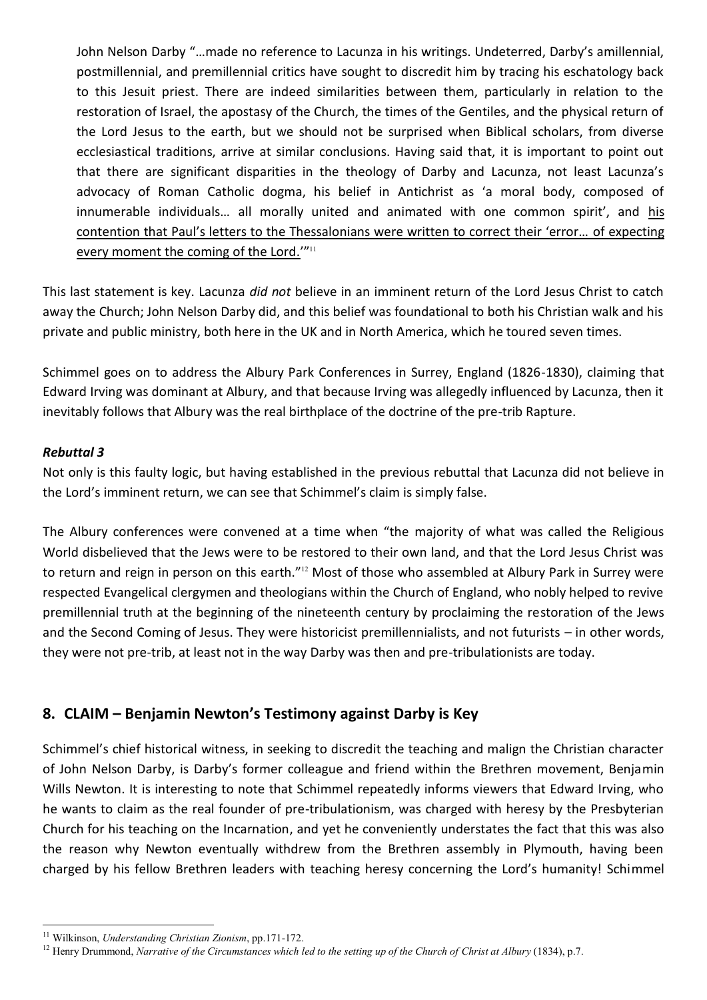John Nelson Darby "…made no reference to Lacunza in his writings. Undeterred, Darby's amillennial, postmillennial, and premillennial critics have sought to discredit him by tracing his eschatology back to this Jesuit priest. There are indeed similarities between them, particularly in relation to the restoration of Israel, the apostasy of the Church, the times of the Gentiles, and the physical return of the Lord Jesus to the earth, but we should not be surprised when Biblical scholars, from diverse ecclesiastical traditions, arrive at similar conclusions. Having said that, it is important to point out that there are significant disparities in the theology of Darby and Lacunza, not least Lacunza's advocacy of Roman Catholic dogma, his belief in Antichrist as 'a moral body, composed of innumerable individuals… all morally united and animated with one common spirit', and his contention that Paul's letters to the Thessalonians were written to correct their 'error… of expecting every moment the coming of the Lord.'"<sup>11</sup>

This last statement is key. Lacunza *did not* believe in an imminent return of the Lord Jesus Christ to catch away the Church; John Nelson Darby did, and this belief was foundational to both his Christian walk and his private and public ministry, both here in the UK and in North America, which he toured seven times.

Schimmel goes on to address the Albury Park Conferences in Surrey, England (1826-1830), claiming that Edward Irving was dominant at Albury, and that because Irving was allegedly influenced by Lacunza, then it inevitably follows that Albury was the real birthplace of the doctrine of the pre-trib Rapture.

#### *Rebuttal 3*

1

Not only is this faulty logic, but having established in the previous rebuttal that Lacunza did not believe in the Lord's imminent return, we can see that Schimmel's claim is simply false.

The Albury conferences were convened at a time when "the majority of what was called the Religious World disbelieved that the Jews were to be restored to their own land, and that the Lord Jesus Christ was to return and reign in person on this earth."<sup>12</sup> Most of those who assembled at Albury Park in Surrey were respected Evangelical clergymen and theologians within the Church of England, who nobly helped to revive premillennial truth at the beginning of the nineteenth century by proclaiming the restoration of the Jews and the Second Coming of Jesus. They were historicist premillennialists, and not futurists – in other words, they were not pre-trib, at least not in the way Darby was then and pre-tribulationists are today.

## **8. CLAIM – Benjamin Newton's Testimony against Darby is Key**

Schimmel's chief historical witness, in seeking to discredit the teaching and malign the Christian character of John Nelson Darby, is Darby's former colleague and friend within the Brethren movement, Benjamin Wills Newton. It is interesting to note that Schimmel repeatedly informs viewers that Edward Irving, who he wants to claim as the real founder of pre-tribulationism, was charged with heresy by the Presbyterian Church for his teaching on the Incarnation, and yet he conveniently understates the fact that this was also the reason why Newton eventually withdrew from the Brethren assembly in Plymouth, having been charged by his fellow Brethren leaders with teaching heresy concerning the Lord's humanity! Schimmel

<sup>11</sup> Wilkinson, *Understanding Christian Zionism*, pp.171-172.

<sup>&</sup>lt;sup>12</sup> Henry Drummond, *Narrative of the Circumstances which led to the setting up of the Church of Christ at Albury* (1834), p.7.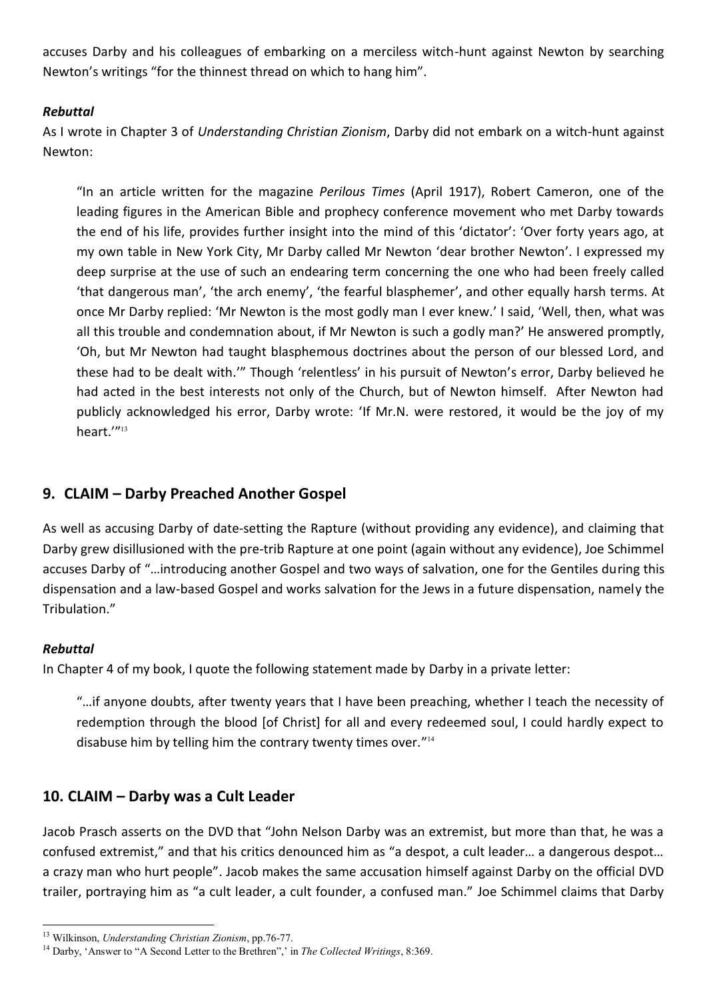accuses Darby and his colleagues of embarking on a merciless witch-hunt against Newton by searching Newton's writings "for the thinnest thread on which to hang him".

## *Rebuttal*

As I wrote in Chapter 3 of *Understanding Christian Zionism*, Darby did not embark on a witch-hunt against Newton:

"In an article written for the magazine *Perilous Times* (April 1917), Robert Cameron, one of the leading figures in the American Bible and prophecy conference movement who met Darby towards the end of his life, provides further insight into the mind of this 'dictator': 'Over forty years ago, at my own table in New York City, Mr Darby called Mr Newton 'dear brother Newton'. I expressed my deep surprise at the use of such an endearing term concerning the one who had been freely called 'that dangerous man', 'the arch enemy', 'the fearful blasphemer', and other equally harsh terms. At once Mr Darby replied: 'Mr Newton is the most godly man I ever knew.' I said, 'Well, then, what was all this trouble and condemnation about, if Mr Newton is such a godly man?' He answered promptly, 'Oh, but Mr Newton had taught blasphemous doctrines about the person of our blessed Lord, and these had to be dealt with.'" Though 'relentless' in his pursuit of Newton's error, Darby believed he had acted in the best interests not only of the Church, but of Newton himself. After Newton had publicly acknowledged his error, Darby wrote: 'If Mr.N. were restored, it would be the joy of my heart.'" 13

## **9. CLAIM – Darby Preached Another Gospel**

As well as accusing Darby of date-setting the Rapture (without providing any evidence), and claiming that Darby grew disillusioned with the pre-trib Rapture at one point (again without any evidence), Joe Schimmel accuses Darby of "…introducing another Gospel and two ways of salvation, one for the Gentiles during this dispensation and a law-based Gospel and works salvation for the Jews in a future dispensation, namely the Tribulation."

## *Rebuttal*

1

In Chapter 4 of my book, I quote the following statement made by Darby in a private letter:

"…if anyone doubts, after twenty years that I have been preaching, whether I teach the necessity of redemption through the blood [of Christ] for all and every redeemed soul, I could hardly expect to disabuse him by telling him the contrary twenty times over."<sup>14</sup>

## **10. CLAIM – Darby was a Cult Leader**

Jacob Prasch asserts on the DVD that "John Nelson Darby was an extremist, but more than that, he was a confused extremist," and that his critics denounced him as "a despot, a cult leader… a dangerous despot… a crazy man who hurt people". Jacob makes the same accusation himself against Darby on the official DVD trailer, portraying him as "a cult leader, a cult founder, a confused man." Joe Schimmel claims that Darby

<sup>13</sup> Wilkinson, *Understanding Christian Zionism*, pp.76-77.

<sup>&</sup>lt;sup>14</sup> Darby, 'Answer to "A Second Letter to the Brethren",' in *The Collected Writings*, 8:369.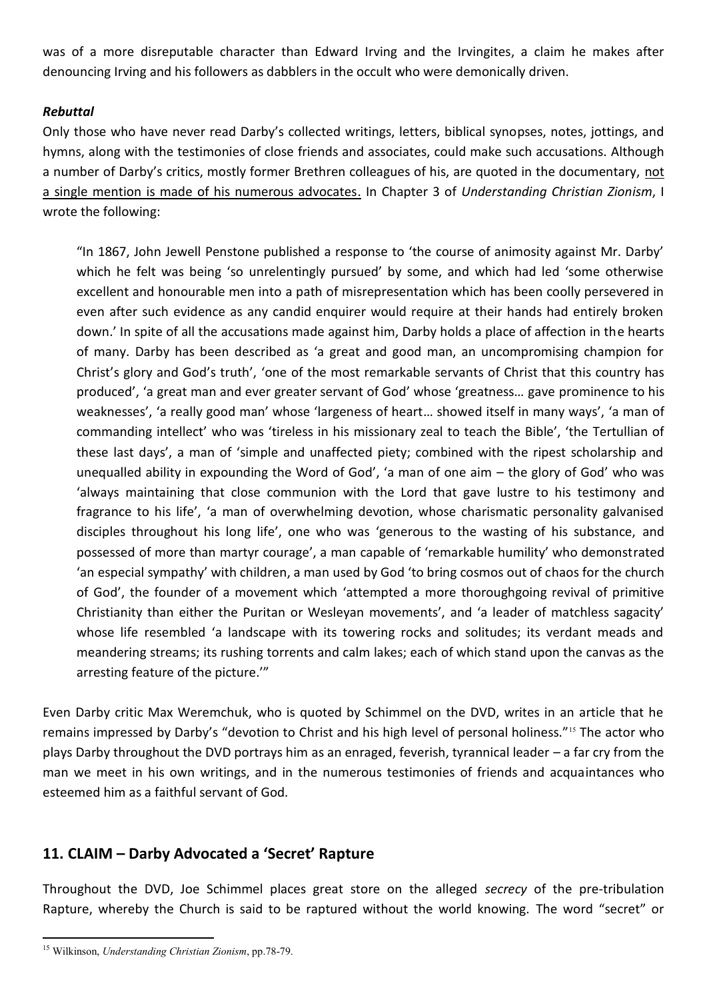was of a more disreputable character than Edward Irving and the Irvingites, a claim he makes after denouncing Irving and his followers as dabblers in the occult who were demonically driven.

### *Rebuttal*

Only those who have never read Darby's collected writings, letters, biblical synopses, notes, jottings, and hymns, along with the testimonies of close friends and associates, could make such accusations. Although a number of Darby's critics, mostly former Brethren colleagues of his, are quoted in the documentary, not a single mention is made of his numerous advocates. In Chapter 3 of *Understanding Christian Zionism*, I wrote the following:

"In 1867, John Jewell Penstone published a response to 'the course of animosity against Mr. Darby' which he felt was being 'so unrelentingly pursued' by some, and which had led 'some otherwise excellent and honourable men into a path of misrepresentation which has been coolly persevered in even after such evidence as any candid enquirer would require at their hands had entirely broken down.' In spite of all the accusations made against him, Darby holds a place of affection in the hearts of many. Darby has been described as 'a great and good man, an uncompromising champion for Christ's glory and God's truth', 'one of the most remarkable servants of Christ that this country has produced', 'a great man and ever greater servant of God' whose 'greatness… gave prominence to his weaknesses', 'a really good man' whose 'largeness of heart... showed itself in many ways', 'a man of commanding intellect' who was 'tireless in his missionary zeal to teach the Bible', 'the Tertullian of these last days', a man of 'simple and unaffected piety; combined with the ripest scholarship and unequalled ability in expounding the Word of God', 'a man of one aim – the glory of God' who was 'always maintaining that close communion with the Lord that gave lustre to his testimony and fragrance to his life', 'a man of overwhelming devotion, whose charismatic personality galvanised disciples throughout his long life', one who was 'generous to the wasting of his substance, and possessed of more than martyr courage', a man capable of 'remarkable humility' who demonstrated 'an especial sympathy' with children, a man used by God 'to bring cosmos out of chaos for the church of God', the founder of a movement which 'attempted a more thoroughgoing revival of primitive Christianity than either the Puritan or Wesleyan movements', and 'a leader of matchless sagacity' whose life resembled 'a landscape with its towering rocks and solitudes; its verdant meads and meandering streams; its rushing torrents and calm lakes; each of which stand upon the canvas as the arresting feature of the picture.'"

Even Darby critic Max Weremchuk, who is quoted by Schimmel on the DVD, writes in an article that he remains impressed by Darby's "devotion to Christ and his high level of personal holiness."<sup>15</sup> The actor who plays Darby throughout the DVD portrays him as an enraged, feverish, tyrannical leader – a far cry from the man we meet in his own writings, and in the numerous testimonies of friends and acquaintances who esteemed him as a faithful servant of God.

## **11. CLAIM – Darby Advocated a 'Secret' Rapture**

Throughout the DVD, Joe Schimmel places great store on the alleged *secrecy* of the pre-tribulation Rapture, whereby the Church is said to be raptured without the world knowing. The word "secret" or

1

<sup>15</sup> Wilkinson, *Understanding Christian Zionism*, pp.78-79.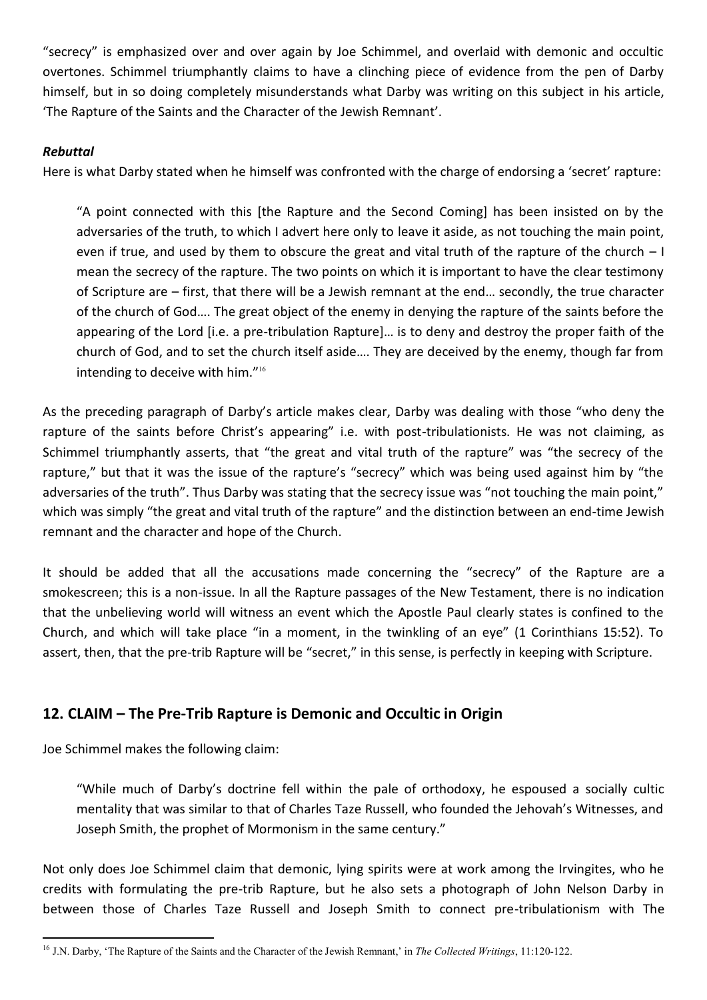"secrecy" is emphasized over and over again by Joe Schimmel, and overlaid with demonic and occultic overtones. Schimmel triumphantly claims to have a clinching piece of evidence from the pen of Darby himself, but in so doing completely misunderstands what Darby was writing on this subject in his article, 'The Rapture of the Saints and the Character of the Jewish Remnant'.

#### *Rebuttal*

Here is what Darby stated when he himself was confronted with the charge of endorsing a 'secret' rapture:

"A point connected with this [the Rapture and the Second Coming] has been insisted on by the adversaries of the truth, to which I advert here only to leave it aside, as not touching the main point, even if true, and used by them to obscure the great and vital truth of the rapture of the church – I mean the secrecy of the rapture. The two points on which it is important to have the clear testimony of Scripture are – first, that there will be a Jewish remnant at the end… secondly, the true character of the church of God…. The great object of the enemy in denying the rapture of the saints before the appearing of the Lord [i.e. a pre-tribulation Rapture]… is to deny and destroy the proper faith of the church of God, and to set the church itself aside…. They are deceived by the enemy, though far from intending to deceive with him."<sup>16</sup>

As the preceding paragraph of Darby's article makes clear, Darby was dealing with those "who deny the rapture of the saints before Christ's appearing" i.e. with post-tribulationists. He was not claiming, as Schimmel triumphantly asserts, that "the great and vital truth of the rapture" was "the secrecy of the rapture," but that it was the issue of the rapture's "secrecy" which was being used against him by "the adversaries of the truth". Thus Darby was stating that the secrecy issue was "not touching the main point," which was simply "the great and vital truth of the rapture" and the distinction between an end-time Jewish remnant and the character and hope of the Church.

It should be added that all the accusations made concerning the "secrecy" of the Rapture are a smokescreen; this is a non-issue. In all the Rapture passages of the New Testament, there is no indication that the unbelieving world will witness an event which the Apostle Paul clearly states is confined to the Church, and which will take place "in a moment, in the twinkling of an eye" (1 Corinthians 15:52). To assert, then, that the pre-trib Rapture will be "secret," in this sense, is perfectly in keeping with Scripture.

## **12. CLAIM – The Pre-Trib Rapture is Demonic and Occultic in Origin**

Joe Schimmel makes the following claim:

"While much of Darby's doctrine fell within the pale of orthodoxy, he espoused a socially cultic mentality that was similar to that of Charles Taze Russell, who founded the Jehovah's Witnesses, and Joseph Smith, the prophet of Mormonism in the same century."

Not only does Joe Schimmel claim that demonic, lying spirits were at work among the Irvingites, who he credits with formulating the pre-trib Rapture, but he also sets a photograph of John Nelson Darby in between those of Charles Taze Russell and Joseph Smith to connect pre-tribulationism with The

<sup>1</sup> <sup>16</sup> J.N. Darby, 'The Rapture of the Saints and the Character of the Jewish Remnant,' in *The Collected Writings*, 11:120-122.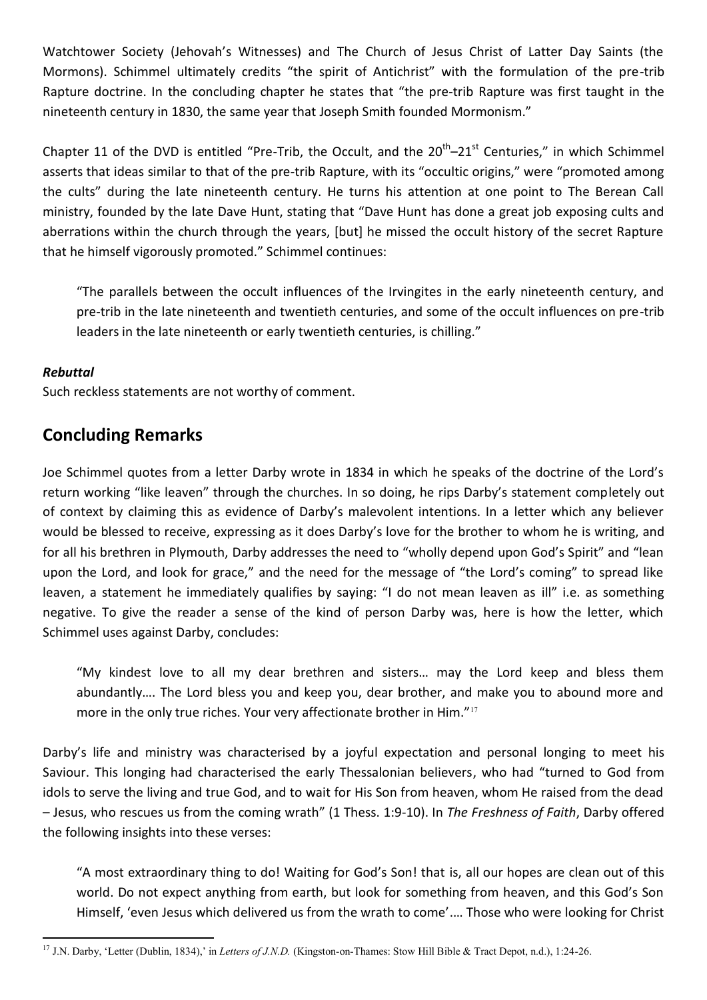Watchtower Society (Jehovah's Witnesses) and The Church of Jesus Christ of Latter Day Saints (the Mormons). Schimmel ultimately credits "the spirit of Antichrist" with the formulation of the pre-trib Rapture doctrine. In the concluding chapter he states that "the pre-trib Rapture was first taught in the nineteenth century in 1830, the same year that Joseph Smith founded Mormonism."

Chapter 11 of the DVD is entitled "Pre-Trib, the Occult, and the  $20^{th}$ – $21^{st}$  Centuries," in which Schimmel asserts that ideas similar to that of the pre-trib Rapture, with its "occultic origins," were "promoted among the cults" during the late nineteenth century. He turns his attention at one point to The Berean Call ministry, founded by the late Dave Hunt, stating that "Dave Hunt has done a great job exposing cults and aberrations within the church through the years, [but] he missed the occult history of the secret Rapture that he himself vigorously promoted." Schimmel continues:

"The parallels between the occult influences of the Irvingites in the early nineteenth century, and pre-trib in the late nineteenth and twentieth centuries, and some of the occult influences on pre-trib leaders in the late nineteenth or early twentieth centuries, is chilling."

#### *Rebuttal*

Such reckless statements are not worthy of comment.

# **Concluding Remarks**

Joe Schimmel quotes from a letter Darby wrote in 1834 in which he speaks of the doctrine of the Lord's return working "like leaven" through the churches. In so doing, he rips Darby's statement completely out of context by claiming this as evidence of Darby's malevolent intentions. In a letter which any believer would be blessed to receive, expressing as it does Darby's love for the brother to whom he is writing, and for all his brethren in Plymouth, Darby addresses the need to "wholly depend upon God's Spirit" and "lean upon the Lord, and look for grace," and the need for the message of "the Lord's coming" to spread like leaven, a statement he immediately qualifies by saying: "I do not mean leaven as ill" i.e. as something negative. To give the reader a sense of the kind of person Darby was, here is how the letter, which Schimmel uses against Darby, concludes:

"My kindest love to all my dear brethren and sisters… may the Lord keep and bless them abundantly…. The Lord bless you and keep you, dear brother, and make you to abound more and more in the only true riches. Your very affectionate brother in Him."<sup>17</sup>

Darby's life and ministry was characterised by a joyful expectation and personal longing to meet his Saviour. This longing had characterised the early Thessalonian believers, who had "turned to God from idols to serve the living and true God, and to wait for His Son from heaven, whom He raised from the dead – Jesus, who rescues us from the coming wrath" (1 Thess. 1:9-10). In *The Freshness of Faith*, Darby offered the following insights into these verses:

"A most extraordinary thing to do! Waiting for God's Son! that is, all our hopes are clean out of this world. Do not expect anything from earth, but look for something from heaven, and this God's Son Himself, 'even Jesus which delivered us from the wrath to come'.… Those who were looking for Christ

<sup>1</sup> <sup>17</sup> J.N. Darby, 'Letter (Dublin, 1834),' in *Letters of J.N.D.* (Kingston-on-Thames: Stow Hill Bible & Tract Depot, n.d.), 1:24-26.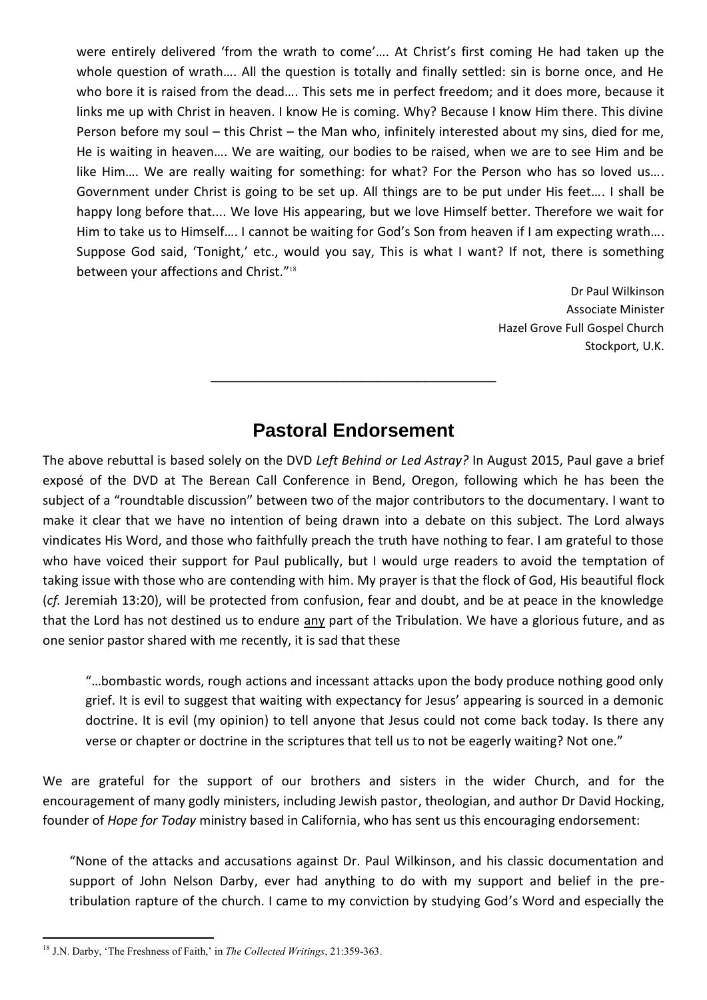were entirely delivered 'from the wrath to come'…. At Christ's first coming He had taken up the whole question of wrath…. All the question is totally and finally settled: sin is borne once, and He who bore it is raised from the dead…. This sets me in perfect freedom; and it does more, because it links me up with Christ in heaven. I know He is coming. Why? Because I know Him there. This divine Person before my soul – this Christ – the Man who, infinitely interested about my sins, died for me, He is waiting in heaven…. We are waiting, our bodies to be raised, when we are to see Him and be like Him.... We are really waiting for something: for what? For the Person who has so loved us.... Government under Christ is going to be set up. All things are to be put under His feet…. I shall be happy long before that.... We love His appearing, but we love Himself better. Therefore we wait for Him to take us to Himself…. I cannot be waiting for God's Son from heaven if I am expecting wrath…. Suppose God said, 'Tonight,' etc., would you say, This is what I want? If not, there is something between your affections and Christ."<sup>18</sup>

> Dr Paul Wilkinson Associate Minister Hazel Grove Full Gospel Church Stockport, U.K.

# **Pastoral Endorsement**

\_\_\_\_\_\_\_\_\_\_\_\_\_\_\_\_\_\_\_\_\_\_\_\_\_\_\_\_\_\_\_\_\_\_\_\_

The above rebuttal is based solely on the DVD *Left Behind or Led Astray?* In August 2015, Paul gave a brief exposé of the DVD at The Berean Call Conference in Bend, Oregon, following which he has been the subject of a "roundtable discussion" between two of the major contributors to the documentary. I want to make it clear that we have no intention of being drawn into a debate on this subject. The Lord always vindicates His Word, and those who faithfully preach the truth have nothing to fear. I am grateful to those who have voiced their support for Paul publically, but I would urge readers to avoid the temptation of taking issue with those who are contending with him. My prayer is that the flock of God, His beautiful flock (*cf.* Jeremiah 13:20), will be protected from confusion, fear and doubt, and be at peace in the knowledge that the Lord has not destined us to endure any part of the Tribulation. We have a glorious future, and as one senior pastor shared with me recently, it is sad that these

"…bombastic words, rough actions and incessant attacks upon the body produce nothing good only grief. It is evil to suggest that waiting with expectancy for Jesus' appearing is sourced in a demonic doctrine. It is evil (my opinion) to tell anyone that Jesus could not come back today. Is there any verse or chapter or doctrine in the scriptures that tell us to not be eagerly waiting? Not one."

We are grateful for the support of our brothers and sisters in the wider Church, and for the encouragement of many godly ministers, including Jewish pastor, theologian, and author Dr David Hocking, founder of *Hope for Today* ministry based in California, who has sent us this encouraging endorsement:

"None of the attacks and accusations against Dr. Paul Wilkinson, and his classic documentation and support of John Nelson Darby, ever had anything to do with my support and belief in the pretribulation rapture of the church. I came to my conviction by studying God's Word and especially the

<sup>1</sup> <sup>18</sup> J.N. Darby, 'The Freshness of Faith,' in *The Collected Writings*, 21:359-363.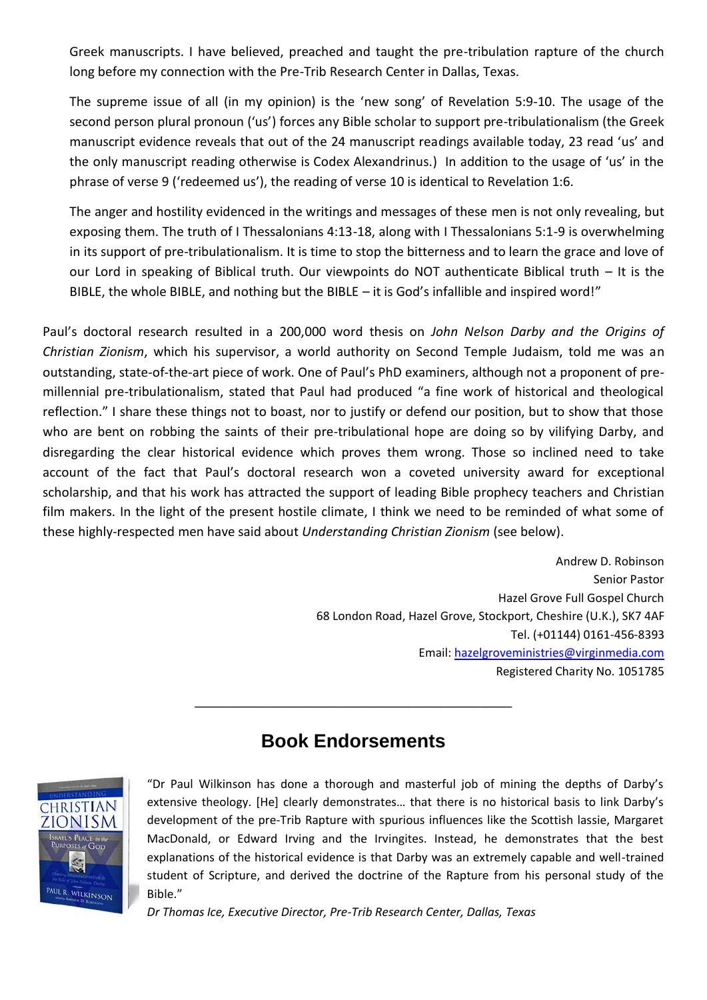Greek manuscripts. I have believed, preached and taught the pre-tribulation rapture of the church long before my connection with the Pre-Trib Research Center in Dallas, Texas.

The supreme issue of all (in my opinion) is the 'new song' of Revelation 5:9-10. The usage of the second person plural pronoun ('us') forces any Bible scholar to support pre-tribulationalism (the Greek manuscript evidence reveals that out of the 24 manuscript readings available today, 23 read 'us' and the only manuscript reading otherwise is Codex Alexandrinus.) In addition to the usage of 'us' in the phrase of verse 9 ('redeemed us'), the reading of verse 10 is identical to Revelation 1:6.

The anger and hostility evidenced in the writings and messages of these men is not only revealing, but exposing them. The truth of I Thessalonians 4:13-18, along with I Thessalonians 5:1-9 is overwhelming in its support of pre-tribulationalism. It is time to stop the bitterness and to learn the grace and love of our Lord in speaking of Biblical truth. Our viewpoints do NOT authenticate Biblical truth – It is the BIBLE, the whole BIBLE, and nothing but the BIBLE – it is God's infallible and inspired word!"

Paul's doctoral research resulted in a 200,000 word thesis on *John Nelson Darby and the Origins of Christian Zionism*, which his supervisor, a world authority on Second Temple Judaism, told me was an outstanding, state-of-the-art piece of work. One of Paul's PhD examiners, although not a proponent of premillennial pre-tribulationalism, stated that Paul had produced "a fine work of historical and theological reflection." I share these things not to boast, nor to justify or defend our position, but to show that those who are bent on robbing the saints of their pre-tribulational hope are doing so by vilifying Darby, and disregarding the clear historical evidence which proves them wrong. Those so inclined need to take account of the fact that Paul's doctoral research won a coveted university award for exceptional scholarship, and that his work has attracted the support of leading Bible prophecy teachers and Christian film makers. In the light of the present hostile climate, I think we need to be reminded of what some of these highly-respected men have said about *Understanding Christian Zionism* (see below).

> Andrew D. Robinson Senior Pastor Hazel Grove Full Gospel Church 68 London Road, Hazel Grove, Stockport, Cheshire (U.K.), SK7 4AF Tel. (+01144) 0161-456-8393 Email[: hazelgroveministries@virginmedia.com](mailto:hazelgroveministries@virginmedia.com) Registered Charity No. 1051785

# **Book Endorsements**

\_\_\_\_\_\_\_\_\_\_\_\_\_\_\_\_\_\_\_\_\_\_\_\_\_\_\_\_\_\_\_\_\_\_\_\_\_\_\_\_



"Dr Paul Wilkinson has done a thorough and masterful job of mining the depths of Darby's extensive theology. [He] clearly demonstrates… that there is no historical basis to link Darby's development of the pre-Trib Rapture with spurious influences like the Scottish lassie, Margaret MacDonald, or Edward Irving and the Irvingites. Instead, he demonstrates that the best explanations of the historical evidence is that Darby was an extremely capable and well-trained student of Scripture, and derived the doctrine of the Rapture from his personal study of the Bible."

*Dr Thomas Ice, Executive Director, Pre-Trib Research Center, Dallas, Texas*